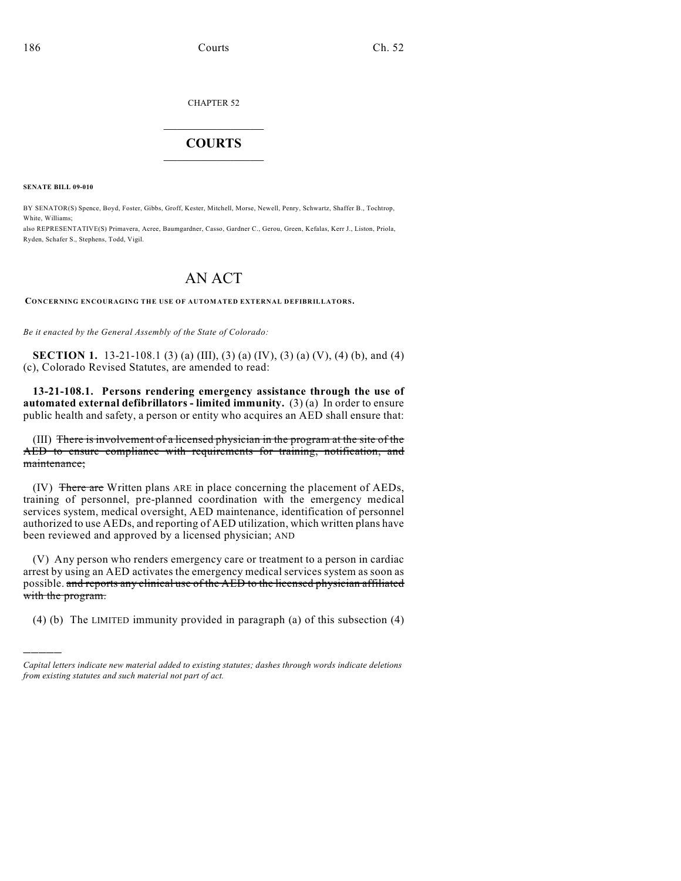## CHAPTER 52

## $\overline{\phantom{a}}$  . The set of the set of the set of the set of the set of the set of the set of the set of the set of the set of the set of the set of the set of the set of the set of the set of the set of the set of the set o **COURTS**  $\_$

**SENATE BILL 09-010**

)))))

BY SENATOR(S) Spence, Boyd, Foster, Gibbs, Groff, Kester, Mitchell, Morse, Newell, Penry, Schwartz, Shaffer B., Tochtrop, White, Williams;

also REPRESENTATIVE(S) Primavera, Acree, Baumgardner, Casso, Gardner C., Gerou, Green, Kefalas, Kerr J., Liston, Priola, Ryden, Schafer S., Stephens, Todd, Vigil.

## AN ACT

**CONCERNING ENCOURAGING THE USE OF AUTOMATED EXTERNAL DEFIBRILLATORS.**

*Be it enacted by the General Assembly of the State of Colorado:*

**SECTION 1.** 13-21-108.1 (3) (a) (III), (3) (a) (IV), (3) (a) (V), (4) (b), and (4) (c), Colorado Revised Statutes, are amended to read:

**13-21-108.1. Persons rendering emergency assistance through the use of automated external defibrillators - limited immunity.** (3) (a) In order to ensure public health and safety, a person or entity who acquires an AED shall ensure that:

(III) There is involvement of a licensed physician in the program at the site of the AED to ensure compliance with requirements for training, notification, and maintenance;

(IV) There are Written plans ARE in place concerning the placement of AEDs, training of personnel, pre-planned coordination with the emergency medical services system, medical oversight, AED maintenance, identification of personnel authorized to use AEDs, and reporting of AED utilization, which written plans have been reviewed and approved by a licensed physician; AND

(V) Any person who renders emergency care or treatment to a person in cardiac arrest by using an AED activates the emergency medical services system as soon as possible. and reports any clinical use of the AED to the licensed physician affiliated with the program.

(4) (b) The LIMITED immunity provided in paragraph (a) of this subsection (4)

*Capital letters indicate new material added to existing statutes; dashes through words indicate deletions from existing statutes and such material not part of act.*